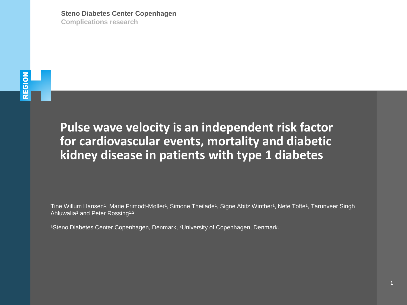# REGION

**Pulse wave velocity is an independent risk factor for cardiovascular events, mortality and diabetic kidney disease in patients with type 1 diabetes**

Tine Willum Hansen<sup>1</sup>, Marie Frimodt-Møller<sup>1</sup>, Simone Theilade<sup>1</sup>, Signe Abitz Winther<sup>1</sup>, Nete Tofte<sup>1</sup>, Tarunveer Singh Ahluwalia<sup>1</sup> and Peter Rossing<sup>1,2</sup>

<sup>1</sup>Steno Diabetes Center Copenhagen, Denmark, <sup>2</sup>University of Copenhagen, Denmark.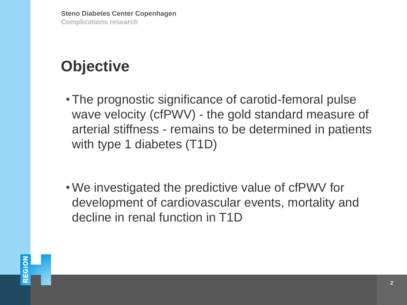## **Objective**

- The prognostic significance of carotid-femoral pulse wave velocity (cfPWV) - the gold standard measure of arterial stiffness - remains to be determined in patients with type 1 diabetes (T1D)
- We investigated the predictive value of cfPWV for development of cardiovascular events, mortality and decline in renal function in T1D

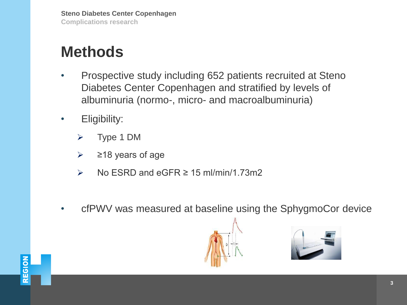## **Methods**

- Prospective study including 652 patients recruited at Steno Diabetes Center Copenhagen and stratified by levels of albuminuria (normo-, micro- and macroalbuminuria)
- Eligibility:
	- ➢ Type 1 DM
	- $\geq$  218 years of age
	- $\triangleright$  No ESRD and eGFR  $\geq$  15 ml/min/1.73m2
- cfPWV was measured at baseline using the SphygmoCor device





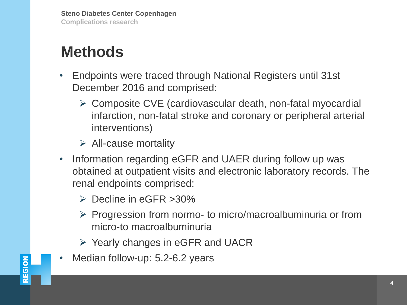## **Methods**

- Endpoints were traced through National Registers until 31st December 2016 and comprised:
	- ➢ Composite CVE (cardiovascular death, non-fatal myocardial infarction, non-fatal stroke and coronary or peripheral arterial interventions)
	- $\triangleright$  All-cause mortality
- Information regarding eGFR and UAER during follow up was obtained at outpatient visits and electronic laboratory records. The renal endpoints comprised:
	- ➢ Decline in eGFR >30%
	- ➢ Progression from normo- to micro/macroalbuminuria or from micro-to macroalbuminuria
	- ➢ Yearly changes in eGFR and UACR
- Median follow-up: 5.2-6.2 years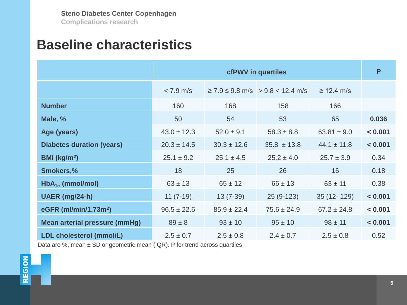#### **Baseline characteristics**

|                                      | <b>cfPWV</b> in quartiles |                 |                                                   |                 |         |  |
|--------------------------------------|---------------------------|-----------------|---------------------------------------------------|-----------------|---------|--|
|                                      | $< 7.9$ m/s               |                 | $\geq$ 7.9 $\leq$ 9.8 m/s $\geq$ 9.8 $<$ 12.4 m/s | $\geq$ 12.4 m/s |         |  |
| <b>Number</b>                        | 160                       | 168             | 158                                               | 166             |         |  |
| Male, %                              | 50                        | 54              | 53                                                | 65              | 0.036   |  |
| Age (years)                          | $43.0 \pm 12.3$           | $52.0 \pm 9.1$  | $58.3 \pm 8.8$                                    | $63.81 \pm 9.0$ | < 0.001 |  |
| <b>Diabetes duration (years)</b>     | $20.3 \pm 14.5$           | $30.3 \pm 12.6$ | $35.8 \pm 13.8$                                   | $44.1 \pm 11.8$ | < 0.001 |  |
| BMI (kg/m <sup>2</sup> )             | $25.1 \pm 9.2$            | $25.1 \pm 4.5$  | $25.2 \pm 4.0$                                    | $25.7 \pm 3.9$  | 0.34    |  |
| <b>Smokers,%</b>                     | 18                        | 25              | 26                                                | 16              | 0.18    |  |
| $HbA_{1c}$ (mmol/mol)                | $63 \pm 13$               | $65 \pm 12$     | $66 \pm 13$                                       | $63 \pm 11$     | 0.38    |  |
| UAER (mg/24-h)                       | $11(7-19)$                | $13(7-39)$      | $25(9-123)$                                       | 35 (12-129)     | < 0.001 |  |
| eGFR (ml/min/1.73m <sup>2</sup> )    | $96.5 \pm 22.6$           | $85.9 \pm 22.4$ | $75.6 \pm 24.9$                                   | $67.2 \pm 24.8$ | < 0.001 |  |
| <b>Mean arterial pressure (mmHg)</b> | $89 \pm 8$                | $93 \pm 10$     | $95 \pm 10$                                       | $98 \pm 11$     | < 0.001 |  |
| <b>LDL cholesterol (mmol/L)</b>      | $2.5 \pm 0.7$             | $2.5 \pm 0.8$   | $2.4 \pm 0.7$                                     | $2.5 \pm 0.8$   | 0.52    |  |

Data are %, mean  $\pm$  SD or geometric mean (IQR). P for trend across quartiles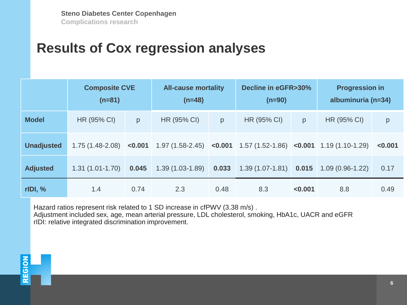#### **Results of Cox regression analyses**

|                   | <b>Composite CVE</b><br>$(n=81)$ |         | <b>All-cause mortality</b><br>$(n=48)$ |       | Decline in eGFR>30%<br>$(n=90)$                                       |         | <b>Progression in</b><br>albuminuria (n=34) |         |
|-------------------|----------------------------------|---------|----------------------------------------|-------|-----------------------------------------------------------------------|---------|---------------------------------------------|---------|
| <b>Model</b>      | HR (95% CI)                      | p       | HR (95% CI)                            | p     | HR (95% CI)                                                           | p       | HR (95% CI)                                 | р       |
| <b>Unadjusted</b> | $1.75(1.48-2.08)$                | < 0.001 |                                        |       | $1.97(1.58-2.45)$ <0.001 1.57 $(1.52-1.86)$ <0.001 1.19 $(1.10-1.29)$ |         |                                             | < 0.001 |
| <b>Adjusted</b>   | $1.31(1.01-1.70)$                | 0.045   | $1.39(1.03-1.89)$                      | 0.033 | $1.39(1.07-1.81)$                                                     | 0.015   | $1.09(0.96-1.22)$                           | 0.17    |
| $r$ IDI, %        | 1.4                              | 0.74    | 2.3                                    | 0.48  | 8.3                                                                   | < 0.001 | 8.8                                         | 0.49    |

Hazard ratios represent risk related to 1 SD increase in cfPWV (3.38 m/s) . Adjustment included sex, age, mean arterial pressure, LDL cholesterol, smoking, HbA1c, UACR and eGFR rIDI: relative integrated discrimination improvement.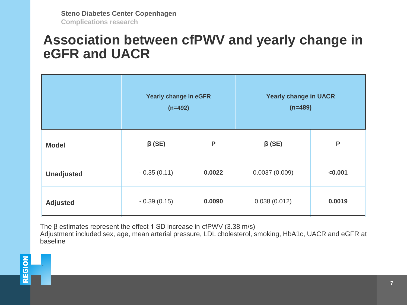#### **Association between cfPWV and yearly change in eGFR and UACR**

|                   | Yearly change in eGFR<br>$(n=492)$ |        | <b>Yearly change in UACR</b><br>$(n=489)$ |         |  |
|-------------------|------------------------------------|--------|-------------------------------------------|---------|--|
| <b>Model</b>      | $\beta$ (SE)                       | P      | $\beta$ (SE)                              | P       |  |
| <b>Unadjusted</b> | $-0.35(0.11)$                      | 0.0022 | 0.0037(0.009)                             | < 0.001 |  |
| <b>Adjusted</b>   | $-0.39(0.15)$                      | 0.0090 | 0.038(0.012)                              | 0.0019  |  |

The β estimates represent the effect 1 SD increase in cfPWV (3.38 m/s)

Adjustment included sex, age, mean arterial pressure, LDL cholesterol, smoking, HbA1c, UACR and eGFR at baseline

.